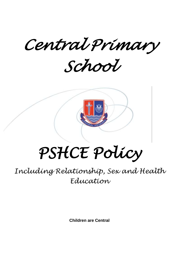*Central Primary* 

*School* 



# *PSHCE Policy*

*Including Relationship, Sex and Health Education*

**Children are Central**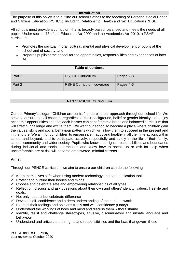#### **Introduction**

The purpose of this policy is to outline our school's ethos to the teaching of Personal Social Health and Citizens Education (PSHCE), including Relationship, Health and Sex Education (RHSE).

All schools must provide a curriculum that is broadly based, balanced and meets the needs of all pupils. Under section 78 of the Education Act 2002 and the Academies Act 2010, a PSHE curriculum:

- Promotes the spiritual, moral, cultural, mental and physical development of pupils at the school and of society, and
- Prepares pupils at the school for the opportunities, responsibilities and experiences of later life

| <b>Table of contents</b> |                                 |           |  |  |
|--------------------------|---------------------------------|-----------|--|--|
| Part 1                   | <b>PSHCE Curriculum</b>         | Pages 2-3 |  |  |
| Part 2                   | <b>RSHE Curriculum coverage</b> | Pages 4-6 |  |  |

## **Part 1: PSCHE Curriculum**

Central Primary's slogan "Children are central" underpins our approach throughout school life. We strive to ensure that all children, regardless of their background, belief or gender identity, can enjoy academic opportunities and that each learner can benefit from a broad and balanced curriculum that will stretch, challenge and excite them. We want our school to become a place where children gain the values, skills and social behaviour patterns which will allow them to succeed in the present and in the future. We aim for our children to remain safe, happy and healthy in all their interactions within school and beyond, and to participate actively, respectfully and safely in the life of their family, school, community and wider society. Pupils who know their rights, responsibilities and boundaries during individual and social interactions and know how to speak up or ask for help when uncomfortable are at risk will become empowered, mindful citizens.

## **Aims:**

Through our PSHCE curriculum we aim to ensure our children can do the following:

- $\checkmark$  Keep themselves safe when using modern technology and communication tools
- $\checkmark$  Protect and nurture their bodies and minds
- $\checkmark$  Choose and celebrate safe and empowering relationships of all types
- $\checkmark$  Reflect on, discuss and ask questions about their own and others' identity, values, lifestyle and goals.
- $\checkmark$  Not only respect but celebrate difference
- $\checkmark$  Develop self- confidence and a deep understanding of their unique worth
- $\checkmark$  Express their feelings and opinions freely and with confidence (Oracy)
- $\checkmark$  Understand the workings of body and mind and discuss them without shame
- $\checkmark$  Identify, resist and challenge stereotypes, abusive, discriminatory and unsafe language and behaviour
- $\checkmark$  Understand and articulate their rights and responsibilities and the laws that govern these

PSHCE and RSHE Policy Last reviewed: October 2020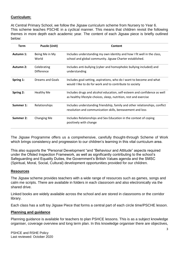# **Curriculum:**

At Central Primary School, we follow the Jigsaw curriculum scheme from Nursery to Year 6. This scheme teaches PSCHE in a cyclical manner. This means that children revisit the following themes in more depth each academic year. The content of each Jigsaw piece is briefly outlined below:

| Term      | <b>Puzzle (Unit)</b>             | Content                                                                                                                                       |  |
|-----------|----------------------------------|-----------------------------------------------------------------------------------------------------------------------------------------------|--|
| Autumn 1: | Being Me in My<br>World          | Includes understanding my own identity and how I fit well in the class,<br>school and global community. Jigsaw Charter established.           |  |
| Autumn 2: | Celebrating<br><b>Difference</b> | Includes anti-bullying (cyber and homophobic bullying included) and<br>understanding                                                          |  |
| Spring 1: | Dreams and Goals                 | Includes goal-setting, aspirations, who do I want to become and what<br>would I like to do for work and to contribute to society              |  |
| Spring 2: | <b>Healthy Me</b>                | Includes drugs and alcohol education, self-esteem and confidence as well<br>as healthy lifestyle choices, sleep, nutrition, rest and exercise |  |
| Summer 1: | Relationships                    | Includes understanding friendship, family and other relationships, conflict<br>resolution and communication skills, bereavement and loss      |  |
| Summer 2: | Changing Me                      | Includes Relationships and Sex Education in the context of coping<br>positively with change                                                   |  |

The Jigsaw Programme offers us a comprehensive, carefully thought-through Scheme of Work which brings consistency and progression to our children's learning in this vital curriculum area.

This also supports the "Personal Development "and "Behaviour and Attitude" aspects required under the Ofsted Inspection Framework, as well as significantly contributing to the school's Safeguarding and Equality Duties, the Government's British Values agenda and the SMSC (Spiritual, Moral, Social, Cultural) development opportunities provided for our children.

#### **Resources**

The Jigsaw scheme provides teachers with a wide range of resources such as games, songs and calm me scripts. There are available in folders in each classroom and also electronically via the shared drive.

Linked books are widely available across the school and are stored in classrooms or the corridor library.

Each class has a soft toy Jigsaw Piece that forms a central part of each circle time/PSCHE lesson.

#### **Planning and guidance**

Planning guidance is available for teachers to plan PSHCE lessons. This is as a subject knowledge organiser, coverage overview and long term plan. In this knowledge organiser there are objectives,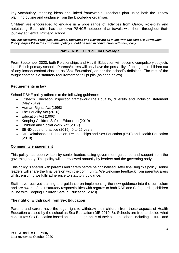key vocabulary, teaching ideas and linked frameworks. Teachers plan using both the Jigsaw planning outline and guidance from the knowledge organiser.

Children are encouraged to engage in a wide range of activities from Oracy, Role-play and notetaking. Each child has their own PSHCE notebook that travels with them throughout their journey at Central Primary School.

*NB: Assessments, Principles, Inclusion, Equalities and Review are all in line with the school's Curriculum Policy. Pages 2-4 in the curriculum policy should be read in conjunction with this policy.*

#### **Part 2: RHSE Curriculum Coverage**

From September 2020, both Relationships and Health Education will become compulsory subjects in all British primary schools. Parents/carers will only have the possibility of opting their children out of any lesson content classed as "Sex Education", as per the school's definition. The rest of the taught content is a statutory requirement for all pupils (as seen below).

## **Requirements in law**

School RSHE policy adheres to the following guidance:

- Ofsted's Education inspection framework:The Equality, diversity and inclusion statement (May 2019)
- Human Rights Act (1998)
- The Equality Act (2010)
- Education Act (1996)
- Keeping Children Safe in Education (2019)
- Children and Social Work Act (2017)
- SEND code of practice (2015): 0 to 25 years
- DfE Relationships Education, Relationships and Sex Education (RSE) and Health Education (2019)

## **Community engagement**

This policy has been written by senior leaders using government guidance and support from the governing body. This policy will be reviewed annually by leaders and the governing body.

This policy is shared with parents and carers before being finalised. After finalising this policy, senior leaders will share the final version with the community. We welcome feedback from parents/carers whilst ensuring we fulfil adherence to statutory guidance.

Staff have received training and guidance on implementing the new guidance into the curriculum and are aware of their statutory responsibilities with regards to both RSE and Safeguarding children in line with Keeping Children Safe in Education (2020).

#### **The right of withdrawal from Sex Education**

Parents and carers have the legal right to withdraw their children from those aspects of Health Education classed by the school as Sex Education (DfE 2019: 8). Schools are free to decide what constitutes Sex Education based on the demographics of their student cohort, including cultural and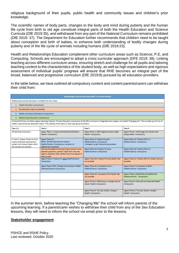religious background of their pupils, public health and community issues and children's prior knowledge.

The scientific names of body parts, changes to the body and mind during puberty and the human life cycle from birth to old age constitute integral parts of both the Health Education and Science Curricula (DfE 2019:35), and withdrawal from any part of the National Curriculum remains prohibited (DfE 2019: 37). The Department for Education further recommends that children need to be taught about conception and birth of babies, to enhance both understanding of bodily changes during puberty and of the life cycle of animals including humans (DfE 2019:23).

Health and Relationships Education complement other curriculum areas such as Science, P.E, and Computing. Schools are encouraged to adopt a cross curricular approach (DFE 2019: 39). Linking teaching across different curriculum areas, ensuring stretch and challenge for all pupils and tailoring teaching content to the characteristics of the student body, as well as high expectations and rigorous assessment of individual pupils' progress will ensure that RHE becomes an integral part of the broad, balanced and progressive curriculum (DfE 2019:8) pursued by all education providers.

In the table below, we have outlined all compulsory content and content parents/carers can withdraw their child from:

| <b>Relationships and Sex Education (RSE) at Central Primary</b>                                                                                                                                                                                                                                   |                                                                                                                                                                              |                                                                                                               |                                                                              |  |  |  |
|---------------------------------------------------------------------------------------------------------------------------------------------------------------------------------------------------------------------------------------------------------------------------------------------------|------------------------------------------------------------------------------------------------------------------------------------------------------------------------------|---------------------------------------------------------------------------------------------------------------|------------------------------------------------------------------------------|--|--|--|
| Relationship and Sex Education is divided into four areas:                                                                                                                                                                                                                                        |                                                                                                                                                                              |                                                                                                               |                                                                              |  |  |  |
| 1. Health Education (compulsory)                                                                                                                                                                                                                                                                  |                                                                                                                                                                              |                                                                                                               |                                                                              |  |  |  |
| 2. Sex Education (opt out possible)                                                                                                                                                                                                                                                               |                                                                                                                                                                              |                                                                                                               |                                                                              |  |  |  |
| 3. Health and Science Education (compulsory)                                                                                                                                                                                                                                                      |                                                                                                                                                                              |                                                                                                               |                                                                              |  |  |  |
| 4. Relationships Education (compulsory)                                                                                                                                                                                                                                                           |                                                                                                                                                                              |                                                                                                               |                                                                              |  |  |  |
| At Central Primary we follow Jigsaw teaching material. The Sex Education component of the RSE curriculum is integrated into a Jigsaw unit called "Changing me". This is made up of a mix of<br>health, science and sex education topics. The outlines of the topics in each year group are below. |                                                                                                                                                                              |                                                                                                               |                                                                              |  |  |  |
| Year 1-3                                                                                                                                                                                                                                                                                          | Year 4                                                                                                                                                                       | Year 5                                                                                                        | Year 6                                                                       |  |  |  |
| All learning compulsory                                                                                                                                                                                                                                                                           | Jigsaw Piece 1: Unique characteristics/Genetics-<br>Health: Compulsory                                                                                                       | Jigsaw Piece 1: Self-image and body image-<br>Health: Compulsory                                              | Jigsaw Piece 1: Self-image and mental well-<br>being-Health: Compulsory      |  |  |  |
| In Year 3, videos chosen to show<br>male and female reproductive<br>system will choose videos which<br>do not show an erection                                                                                                                                                                    | Jigsaw Piece 2a:<br>Male / female reproductive system-<br>Health/Science: Compulsory; omission of<br>references to erection                                                  | Jigsaw Piece 2: Puberty for girls -<br>Health/Science: Compulsory<br>-changes to a girl's body during puberty | Jigsaw Piece 2a: Puberty (Part 1) -<br>Health/Science: Compulsory            |  |  |  |
|                                                                                                                                                                                                                                                                                                   | 2b) may be added to the planning to answer more<br>detailed questions; parents might then have the<br>right to withdraw their children from this session if<br>they so wish. | Jigsaw Piece 3a: Puberty for boys-<br>Health/Science: Compulsory                                              | Jigsaw Piece 2b: Puberty (Part 2) -<br>Health/Science: Compulsory            |  |  |  |
|                                                                                                                                                                                                                                                                                                   | Jigsaw Piece 3: Puberty for girls-Health/Science:<br>Compulsory                                                                                                              | Jigsaw Piece 3b: Puberty for boys-SexEd: Opt<br>out possible                                                  | Jigsaw Piece 2c: Puberty (Part 3) -SexEd: Opt out<br>possible                |  |  |  |
|                                                                                                                                                                                                                                                                                                   | Jigsaw Piece 4/5/6: Change and transition-Health<br>(Mental)/Science-Compulsory                                                                                              | Jigsaw Piece 4a: Conception Part 1-<br>Health/Science: Compulsory                                             | Jigsaw Piece 3: Conception to Birth -<br>Health/Science: Compulsory          |  |  |  |
|                                                                                                                                                                                                                                                                                                   |                                                                                                                                                                              | Jigsaw Piece 4b: Conception Part SexEd: Opt<br>out possible                                                   | Jigsaw Piece 4: Boyfriends and girlfriends-<br>Relationship Ed. : Compulsory |  |  |  |
|                                                                                                                                                                                                                                                                                                   |                                                                                                                                                                              | Jigsaw Piece 5: Reflecting on changes that lie<br>ahead: Health-Compulsory                                    | Jigsaw Piece 5: Real self and ideal self-Health:<br>Compulsory               |  |  |  |
|                                                                                                                                                                                                                                                                                                   |                                                                                                                                                                              | Jigsaw Piece 6: The year ahead: changes -<br>Health: Compulsory                                               | Jigsaw Piece 6: The year ahead: changes -<br>Health: Compulsory              |  |  |  |

In the summer term, before teaching the "Changing Me" the school will inform parents of the upcoming learning. If a parent/carer wishes to withdraw their child from any of the Sex Education lessons, they will need to inform the school via email prior to the lessons.

#### **Stakeholder engagement**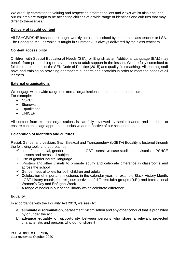We are fully committed to valuing and respecting different beliefs and views whilst also ensuring our children are taught to be accepting citizens of a wide range of identities and cultures that may differ to themselves.

## **Delivery of taught content**

All PSHCE/RSHE lessons are taught weekly across the school by either the class teacher or LSA. The Changing Me unit which is taught in Summer 2, is always delivered by the class teachers.

## **Content accessibility**

Children with Special Educational Needs (SEN) or English as an Additional Language (EAL) may benefit from pre-teaching or have access to adult support in the lesson. We are fully committed to full the requirements of the SEN Code of Practice (2015) and quality first teaching. All teaching staff have had training on providing appropriate supports and scaffolds in order to meet the needs of all learners.

### **External organisations**

We engage with a wide range of external organisations to enhance our curriculum. For example:

- NSPCC
- Stonewall
- Equaliteach
- UNICEF

All content from external organisations is carefully reviewed by senior leaders and teachers to ensure content is age appropriate, inclusive and reflective of our school ethos.

#### **Celebration of identities and cultures**

Racial, Gender and Lesbian, Gay, Bisexual and Transgender+ (LGBT+) Equality is fostered through the following tools and approaches:

- $\checkmark$  use of multi-racial, gender neutral and LGBT+ sensitive case studies and visuals in PSHCE lessons and across all subjects.
- $\checkmark$  Use of gender neutral language
- $\checkmark$  Posters and other visuals to promote equity and celebrate difference in classrooms and across the school
- $\checkmark$  Gender neutral toilets for both children and adults
- $\checkmark$  Celebration of important milestones in the calendar year, for example Black History Month, LGBT history month, the religious festivals of different faith groups (R.E.) and International Women's Day and Refugee Week
- $\checkmark$  A range of books in our school library which celebrate difference

## **Equality**

In accordance with the Equality Act 2010, we seek to:

- a) **eliminate discrimination**, harassment, victimisation and any other conduct that is prohibited by or under the act
- b) **advance equality of opportunity** between persons who share a relevant protected characteristic and persons who do not share it